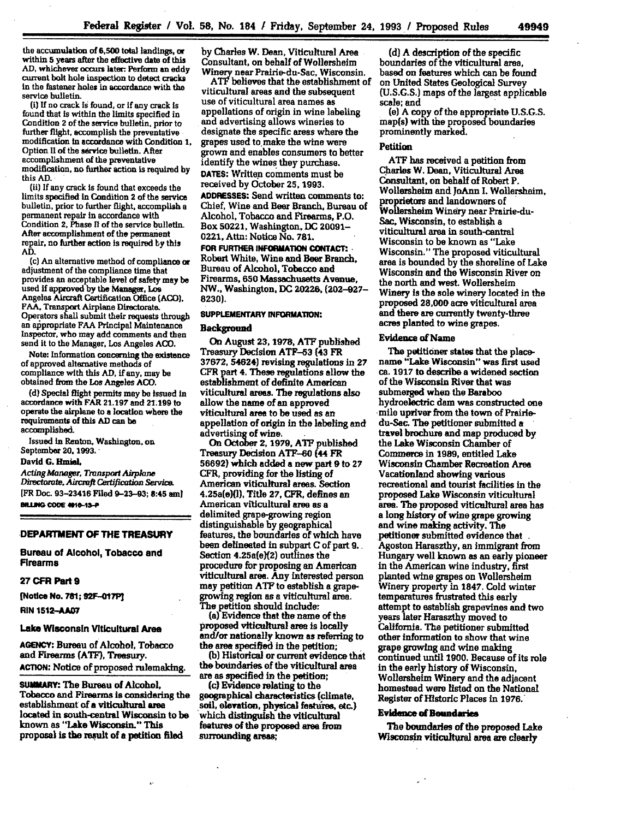the accumulation **of 6,500** total landings, or within **5** years after the effective date of this AD, whichever occurs later: Perform an eddy current bolt hole inspection to detect cracks in the fastener holes in accordance with the service bulletin.

(i) **If** no crack **Is** found, or if any crack is found that is within the limits specified in Condition 2 of the service bulletin, prior to further flight, accomplish the preventative modification n accordance with Condition **1,** Option **II** of the service bulletin. After accomplishment of the preventative modification, no further action is required **by** this **AD.**

(ii) **If** any crack is found that exceeds the limits specified in Condition 2 of the service bulletin, prior to further flight, accomplish a permanent repair in accordance with Condition 2, Phase **II** of the service bulletin. repair, no further action is required by this **AD.**

(c) An alternative method of compliance or adjustment of the compliance **time** that provides an acceptable level of safety may be used if approved **by** the Manager, Los Angeles Aircraft Certification Office **(ACO).** FAA. Transport Airplane Directorate.<br>Operators shall submit their requests through an appropriate FAA Principal Maintenance Inspector, who may **add** comments and then send it to the Manager, Los Angeles **ACO.**

Note: Information concerning the existence of approved alternative methods of compliance with this **AD,** if any, may be obtained from the Los Angeles **ACO.**

**(d)** Special flight permits may be Issued in accordance with FAR **21.197** and 21.199 to operate the airplane to a location whore the requirements of this **AD** can be accomplished.

Issued in Renton. Washington, on September 20, **1993.**

## David G. Hmiel.

*Acting Manager, Tronspot Airpame Directorate, Aircraft Certification Service.* [FR Doc. 93-23416 Filed 9-23-93; 8:45 am) **BILLING CODE 4010-13-P** 

## **DEPARTMENT OF THE TREASURY**

**Bureau of Alcohol, Tobacco and Firearms**

#### **27 CFR Part9**

**[Notice No. 781; 92F-O7P**

**RIN 1512-AA07**

# **Lake Wisconsin Viticultural Area**

**AGENCY:** Bureau of Alcohol, Tobacco and Firearms **(ATF),** Treasury. **ACTION:** Notice of proposed rulemaktng.

**SUMMAr1.** The Bureau of Alcohol, Tobacco and Firearms is considering the establishment **of** a viticultural area located in south-central Wisconsin to be known as "Lake Wisconsin." This proposal is the result of a petition **filed**

Ă.

**by** Charles W. Dean, Viticultural Area Consultant, on behalf of Wollersheim Winery near Prairie-du-Sac, Wisconsin.

*ATE* believes that the establishment of viticultural areas and the subsequent use of viticultural area names as appellations of origin in wine labeling and advertising allows wineries to designate the specific areas where the grapes used to.make the wine were grown and enables consumers to better identify the wines they purchase. **DATES:** Written comments must be received **by** October **25, 1993. ADDRESSES:** Send written comments to: Chief, Wine and Beer Branch, Bureau of Alcohol, Tobacco and Firearms, P.O. Box **50221,** Washington, **DC** 20091- 0221, Attn: Notice No. **781.**

**FOR FURTHER INFORMATION CONTACT:** Robert White, Wine and **Beer** Branch. Bureau of Alcohol, Tobacco and Firearms, **650** Massachusetts Avenue, NW., Washington, **DC 20226, (202-927- 8230).**

# **SUPPLEMENTARY INFORMATION:**

### **Background**

On August **23,1978, ATF** published Treasury Decision **ATF-53** (43 FR **37672,** 54624) revising regulations in **27** CFR part 4. These regulations allow the establishment of definite American viticultural areas. The regulations also allow the name **of** an approved viticultural area to be used as an appellation of origin in the labeling and advertising **of wine.**

On **OCtober** 2, **1979, ATF** published Treasury Decision **ATF-60 (44** FR **56692)** which added a new part **9** to **27** CFR, providing for the listing of American viticultural areas. Section 4.25a(e)(l), Title **27,** CFR, defines an American viticultural **area** as a delimited grape-growing region distinguishable **by** geographical features, the boundaries of which have been delineated in subpart **C** of part **9.** Section 4.25a(e)(2) outlines the procedure for proposing an American viticultural area. Any interested person may petition **ATF** to establish a grapegrowing region as a viticultural area. The petition should include:

(a) Evidence that the name of the and/or nationally known as referring to the area specified in the petition; **(b)** Historical or current evidence that

the botndaries of the viticultural area are as specified in the petition;

(c) Evidence relating to the geographical characteristics (climate, .soil, elevation, physical features, **otc.)** which distinguish the viticultural features of the proposed area from surrounding areas;

**(d) A** description **of** the specific boundaries of the viticultural area, based **on** features which can **be** found on United States Geological Survey **(U.S.G.S.)** maps of the largest applicable scale; and

(e) A copy of the appropriate U.S.G.S. map(s) with the proposed boundaries prominently marked.

# Petition

**ATF** has received a petition from Charles W. Dean, Viticultural Area Consultant, on behalf of Robert P. Wollersheim and JoAnn **1.** Wollersheim, **proprietors** and landowners of **Wollershein** Winery near Prairie-du-Sac, Wisconsin, to establish a viticultural area in south-central Wisconsin to be known as "Lake Wisconsin." The proposed viticultural area is bounded **by** the shoreline of Lake Wisconsin and the Wisconsin River on the north and west. Wollersheim Winery **Is** the sole winery located in the proposed **28,000** acre viticultural area and there are currently twenty-three acres planted to wine grapes.

# Evidence of **Name**

The petitioner states that the placename "Lake Wisconsin" was first used ca. **1917** to describe a widened section of the **Wisconsin** River that was submerged when the Baraboo hydroelectric dam was constructed one -mile upriver from the town of Prairiedu-Sac. The petitioner submitted **a** travel brochure and map produced by the Lake Wisconsin Chamber of Commerce in **1989,** entitled Lake Wisconsin Chamber Recreation Area Vacationland showing various recreational and tourist facilities in the proposed Lake Wisconsin viticultural area. The proposed viticultural area has a long history of wine grape growing and wine making activity. The .petitioner submitted evidence that Agoston Haraszthy, an immigrant from Hungary well known as an early pioneer in the American wine industry, first planted wine grapes on Wollersheim Winery property in **1847.** Cold winter temperatures frustrated this early attempt to establish grapevines and two years later Haraszthy moved to California. The petitioner submitted other information to show that wine grape growing and wine making continued until **1900.** Because of its role in the early history of Wisconsin, Wollersheim Winery and the adjacent homestead were listed on the National Register of Historic Places in **1976.**

### Evidence **of Bmndaries**

The boundaries **of** the proposed Lake Wisconsin viticultural area are clearly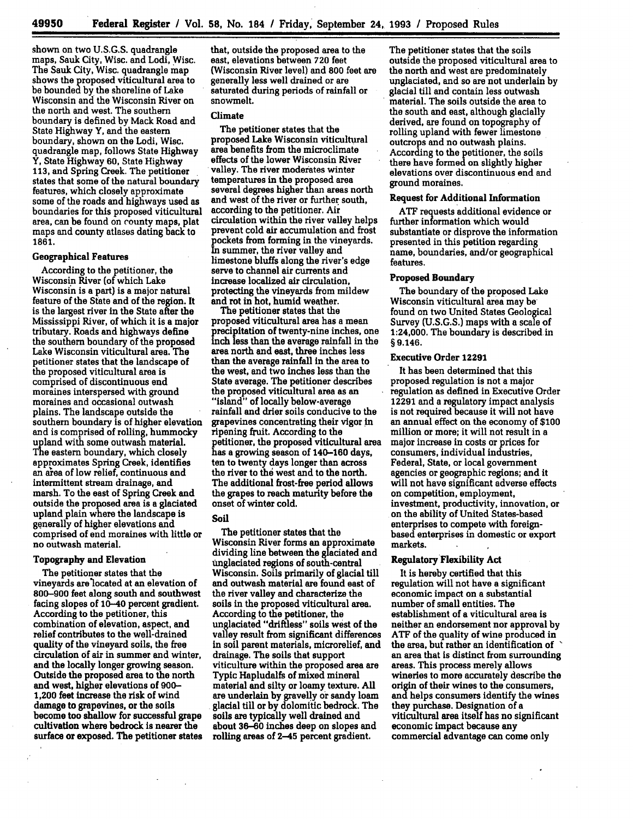shown on two **U.S.G.S.** quadrangle maps, Sauk City, Wisc. and Lodi, Wisc. The Sauk City, Wisc. quadrangle map shows the proposed viticultural area to be bounded **by** the shoreline of Lake Wisconsin and the Wisconsin River on the north and west. The southern boundary is defined **by** Mack Road and State Highway Y, and the eastern boundary, shown **on** the Lodi, Wisc. quadrangle map, follows State Highway Y, State Highway **60,** State Highway **113,** and Spring Creek. The petitioner states that some of the natural boundary features, which closely approximate some of the roads and highways used as boundaries for this proposed viticultural area, can **be** found on county maps, plat maps and county atlases dating back to **1861.**

# **Geographical Features**

According to the petitioner, the Wisconsin River (of which Lake Wisconsin is a part) is a major natural feature of the State and of the region. It is the largest river in the State after the Mississippi River, of which it is a major tributary. Roads and highways define the southern boundary of the proposed Lake Wisconsin viticultural area. The petitioner states that the landscape of the proposed viticultural area is comprised of discontinuous end moraines interspersed with ground moraines and occasional outwash plains. The landscape outside the southern boundary is of higher elevation and is comprised of rolling, hummocky upland with some outwash material. The eastern boundary, which closely approximates Spring Creek, identifies an area of low relief, continuous and intermittent stream drainage, and marsh. To the east of Spring Creek and outside the proposed area is a glaciated upland plain where the landscape is generally of higher elevations and comprised of end moraines with little or no outwash material.

# Topography and Elevation

The petitioner states that the vineyards are'located at an elevation of **800-900** feet along south and southwest facing slopes of 10-40 percent gradient. According to the petitioner, this combination of elevation, aspect, and relief contributes to the well-drained quality of the vineyard soils, the free circulation of air in summer and winter, and the locally longer growing season. Outside the proposed area to the north and west, higher elevations of **900-** 1,200 feet increase the risk of wind damage to grapevines, or the soils become **too** shallow for successful grape cultivation where bedrock **is** nearer the surface or exposed. The petitioner states that, outside the proposed area to the east, elevations between **720** feet (Wisconsin River level) and **800** feet are generally less well drained or are saturated during periods of rainfall or snowmelt.

#### Climate

The petitioner states that the proposed Lake Wisconsin viticultural area benefits from the microclimate effects of the lower Wisconsin River valley. The river moderates winter temperatures in the proposed area several degrees higher than areas north and west of the river or further south, according to the petitioner. Air circulation within the river valley helps prevent cold air accumulation and frost pockets from forming in the vineyards. In summer, the river valley and limestone bluffs along the river's edge serve to channel air currents and increase localized air circulation, protecting the vineyards from mildew and rot in hot, humid weather.

The petitioner states that the proposed viticultural area has a mean precipitation of twenty-nine inches, one inch less than the average rainfall in the area north and east, three inches less than the average rainfall in the area to the west, and two inches less than the State average. The petitioner describes the proposed viticultural area as an "island" of locally below-average rainfall and drier soils conducive to the grapevines concentrating their vigor in ripening fruit. According to the petitioner, the proposed viticultural area has a growing season of 140-160 days, ten to twenty days longer than across the river to **the** west and to the north. The additional frost-free period allows the grapes to reach maturity before the onset of winter cold.

#### **Soil**

The petitioner states that the Wisconsin River forms an approximate dividing line between the glaciated and unglaciated regions of south-central Wisconsin. Soils primarily of glacial till and outwash material are found east of the river valley and characterize the soils in the proposed viticultural area. According to the petitioner, the unglaciated "driftless" soils west of the valley result from significant differences in soil parent materials, microrelief, and drainage. The soils that support viticulture within the proposed area are Typic Hapludalfs of mixed mineral material and silty or loamy texture. **All** are underlain **by** gravelly or sandy loam glacial till or **by** dolomitic bedrock. **The** soils are typically well drained and about **36-60** inches deep on slopes and rolling areas of 2-45 percent gradient.

The petitioner states that the soils outside the proposed viticultural area to the north and west are predominately unglaciated, and so are not underlain **by** glacial till and contain less outwash material. The soils outside the area to the south and east, although glacially derived, are found on topography of rolling upland with fewer limestone outcrops and no outwash plains. According to the petitioner, the soils there have formed on slightly higher elevations over discontinuous end and ground moraines.

#### Request **for** Additional Information

**ATF** requests additional evidence or further information which would substantiate or disprove the information presented in this petition regarding name, boundaries, and/or geographical features.

## **Proposed Boundary**

The boundary of the proposed Lake Wisconsin viticultural area may be found on two United States Geological Survey (U.S.G.S.) maps with a scale of 1:24,000. The boundary is described in **§** 9.146.

#### **Executive Order 12291**

It has been determined that this proposed regulation is not a major regulation as defined in Executive Order 12291 and a regulatory impact analysis is not required because it will not have an annual effect on the economy of **\$100** million or more; it will not result in a major increase in costs or prices for consumers, individual industries, Federal, State, or local government agencies or geographic regions; and it will not have significant adverse effects on competition, employment, investment, productivity, innovation, or on the ability of United States-based enterprises to compete with foreignbased enterprises in domestic or export markets.

# **Regulatory Flexibility Act**

It is hereby certified that this regulation will not have a significant economic impact on a substantial number of small entities. The establishment of a viticultural area is neither an endorsement nor approval **by ATF** of the quality of wine produced in the area, but rather an identification of an area that is distinct from surrounding areas. This process merely allows wineries to more accurately describe the **origin of** their wines to the consumers, **and** helps consumers identify the wines they purchase. Designation of a viticultural area itself has no significant economic impact because any commercial advantage can come only